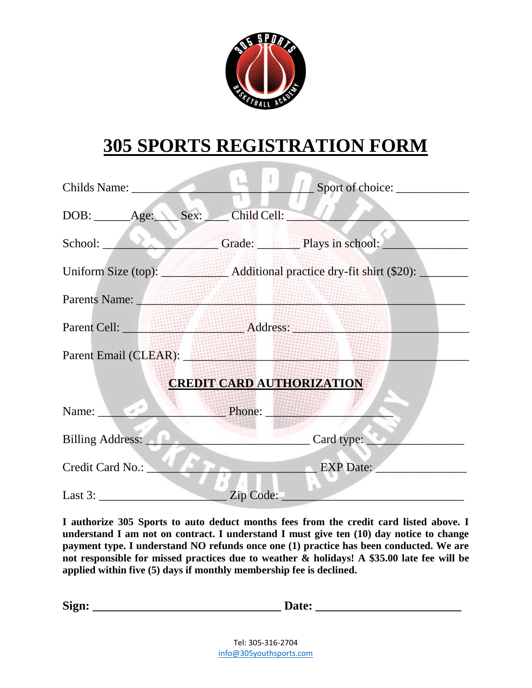

## **305 SPORTS REGISTRATION FORM**

|                                                                                                                                                                                                                                | Sport of choice:                                              |  |  |  |
|--------------------------------------------------------------------------------------------------------------------------------------------------------------------------------------------------------------------------------|---------------------------------------------------------------|--|--|--|
| DOB: ______Age: _____ Sex: ____ Child Cell: ___                                                                                                                                                                                |                                                               |  |  |  |
|                                                                                                                                                                                                                                | School: Grade: Plays in school:                               |  |  |  |
|                                                                                                                                                                                                                                | Uniform Size (top): Additional practice dry-fit shirt (\$20): |  |  |  |
| Parents Name: Van Barnetts Name: Van Barnetts Name: Van Barnetts Name: Van Barnetts Name: Van Barnetts Name: V                                                                                                                 |                                                               |  |  |  |
|                                                                                                                                                                                                                                | Parent Cell: Address: Address:                                |  |  |  |
| Parent Email (CLEAR): North Contract Contract Contract Contract Contract Contract Contract Contract Contract Contract Contract Contract Contract Contract Contract Contract Contract Contract Contract Contract Contract Contr |                                                               |  |  |  |
| <b>CREDIT CARD AUTHORIZATION</b>                                                                                                                                                                                               |                                                               |  |  |  |
| Name: Phone: Phone:                                                                                                                                                                                                            |                                                               |  |  |  |
| Billing Address:                                                                                                                                                                                                               | Card type:                                                    |  |  |  |
| Credit Card No.:                                                                                                                                                                                                               | EXP Date:                                                     |  |  |  |
|                                                                                                                                                                                                                                | Zip Code:                                                     |  |  |  |

**I authorize 305 Sports to auto deduct months fees from the credit card listed above. I understand I am not on contract. I understand I must give ten (10) day notice to change payment type. I understand NO refunds once one (1) practice has been conducted. We are not responsible for missed practices due to weather & holidays! A \$35.00 late fee will be applied within five (5) days if monthly membership fee is declined.**

| $\sim$<br>$\mathbf{M}$ |  |
|------------------------|--|
|                        |  |